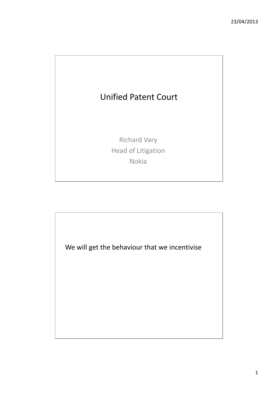

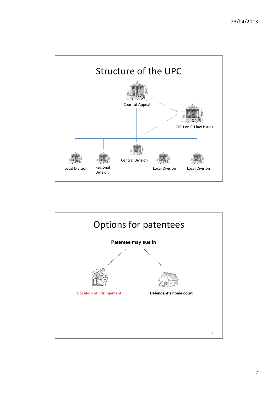

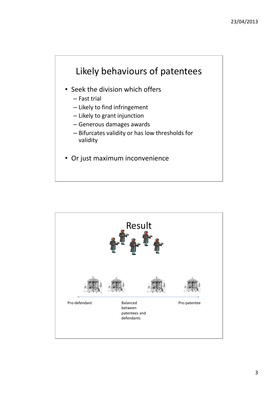

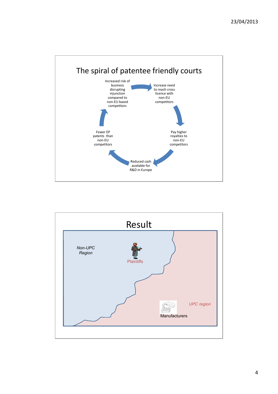

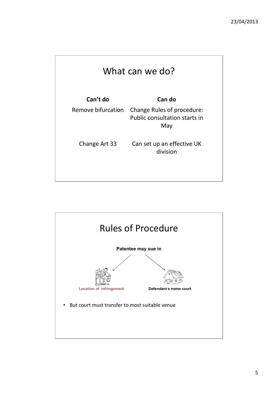| What can we do?    |                                                                           |
|--------------------|---------------------------------------------------------------------------|
| Can't do           | Can do                                                                    |
| Remove bifurcation | Change Rules of procedure:<br><b>Public consultation starts in</b><br>May |
| Change Art 33      | Can set up an effective UK<br>division                                    |